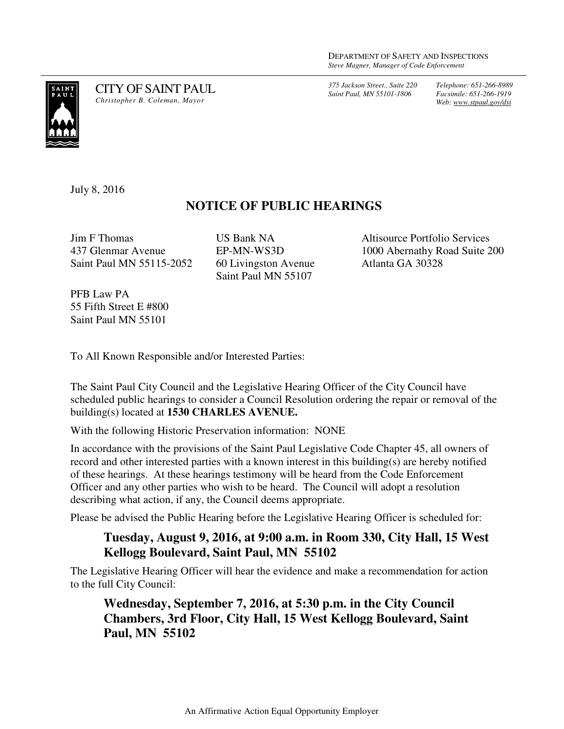*375 Jackson Street., Suite 220 Saint Paul, MN 55101-1806*

*Telephone: 651-266-8989 Facsimile: 651-266-1919 Web: www.stpaul.gov/dsi*



CITY OF SAINT PAUL *Christopher B. Coleman, Mayor* 

July 8, 2016

## **NOTICE OF PUBLIC HEARINGS**

Jim F Thomas 437 Glenmar Avenue Saint Paul MN 55115-2052 US Bank NA EP-MN-WS3D 60 Livingston Avenue Saint Paul MN 55107

Altisource Portfolio Services 1000 Abernathy Road Suite 200 Atlanta GA 30328

PFB Law PA 55 Fifth Street E #800 Saint Paul MN 55101

To All Known Responsible and/or Interested Parties:

The Saint Paul City Council and the Legislative Hearing Officer of the City Council have scheduled public hearings to consider a Council Resolution ordering the repair or removal of the building(s) located at **1530 CHARLES AVENUE.** 

With the following Historic Preservation information: NONE

In accordance with the provisions of the Saint Paul Legislative Code Chapter 45, all owners of record and other interested parties with a known interest in this building(s) are hereby notified of these hearings. At these hearings testimony will be heard from the Code Enforcement Officer and any other parties who wish to be heard. The Council will adopt a resolution describing what action, if any, the Council deems appropriate.

Please be advised the Public Hearing before the Legislative Hearing Officer is scheduled for:

## **Tuesday, August 9, 2016, at 9:00 a.m. in Room 330, City Hall, 15 West Kellogg Boulevard, Saint Paul, MN 55102**

The Legislative Hearing Officer will hear the evidence and make a recommendation for action to the full City Council:

**Wednesday, September 7, 2016, at 5:30 p.m. in the City Council Chambers, 3rd Floor, City Hall, 15 West Kellogg Boulevard, Saint Paul, MN 55102**